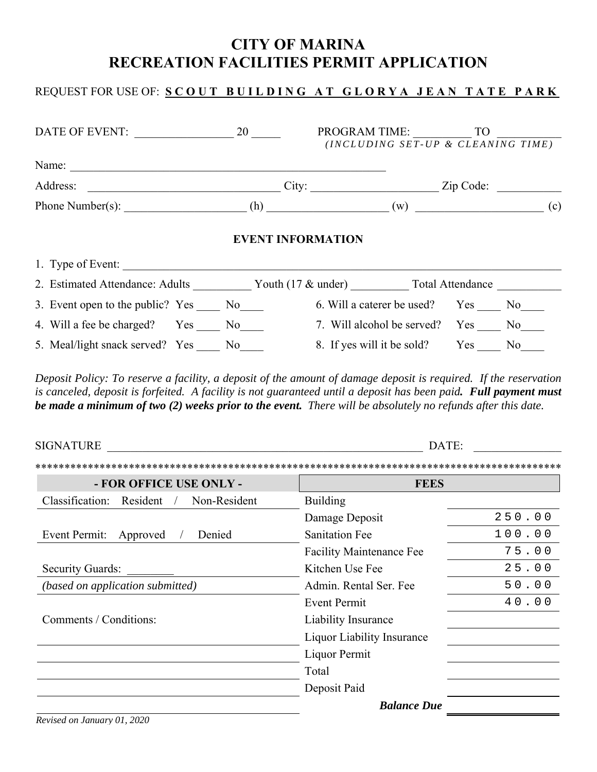# **CITY OF MARINA RECREATION FACILITIES PERMIT APPLICATION**

## REQUEST FOR USE OF: **SCOUT BUILDING AT GLORYA JEAN TATE PARK**

| DATE OF EVENT: 20                                                   |                                                                                           | PROGRAM TIME: TO<br>(INCLUDING SET-UP & CLEANING TIME) |  |  |
|---------------------------------------------------------------------|-------------------------------------------------------------------------------------------|--------------------------------------------------------|--|--|
|                                                                     |                                                                                           |                                                        |  |  |
|                                                                     |                                                                                           | $City:$ $Zip Code:$                                    |  |  |
|                                                                     |                                                                                           |                                                        |  |  |
|                                                                     | <b>EVENT INFORMATION</b>                                                                  |                                                        |  |  |
| 1. Type of Event:                                                   |                                                                                           |                                                        |  |  |
| 2. Estimated Attendance: Adults Youth (17 & under) Total Attendance |                                                                                           |                                                        |  |  |
| 3. Event open to the public? Yes No                                 |                                                                                           | 6. Will a caterer be used? Yes No                      |  |  |
| 4. Will a fee be charged? Yes No                                    |                                                                                           | 7. Will alcohol be served? Yes No                      |  |  |
|                                                                     | 5. Meal/light snack served? Yes _____ No_____ 8. If yes will it be sold? Yes _____ No____ |                                                        |  |  |

*Deposit Policy: To reserve a facility, a deposit of the amount of damage deposit is required. If the reservation is canceled, deposit is forfeited. A facility is not guaranteed until a deposit has been paid. Full payment must be made a minimum of two (2) weeks prior to the event. There will be absolutely no refunds after this date.* 

| <b>SIGNATURE</b>                              | DATE:                             |        |  |
|-----------------------------------------------|-----------------------------------|--------|--|
|                                               |                                   |        |  |
| - FOR OFFICE USE ONLY -                       | <b>FEES</b>                       |        |  |
| Classification:<br>Resident /<br>Non-Resident | <b>Building</b>                   |        |  |
|                                               | Damage Deposit                    | 250.00 |  |
| Event Permit:<br>Denied<br>Approved           | <b>Sanitation Fee</b>             | 100.00 |  |
|                                               | <b>Facility Maintenance Fee</b>   | 75.00  |  |
| <b>Security Guards:</b>                       | Kitchen Use Fee                   | 25.00  |  |
| (based on application submitted)              | Admin. Rental Ser. Fee            | 50.00  |  |
|                                               | <b>Event Permit</b>               | 40.00  |  |
| Comments / Conditions:                        | Liability Insurance               |        |  |
|                                               | <b>Liquor Liability Insurance</b> |        |  |
|                                               | Liquor Permit                     |        |  |
|                                               | Total                             |        |  |
|                                               | Deposit Paid                      |        |  |
|                                               | <b>Balance Due</b>                |        |  |

*Revised on January 01, 2020*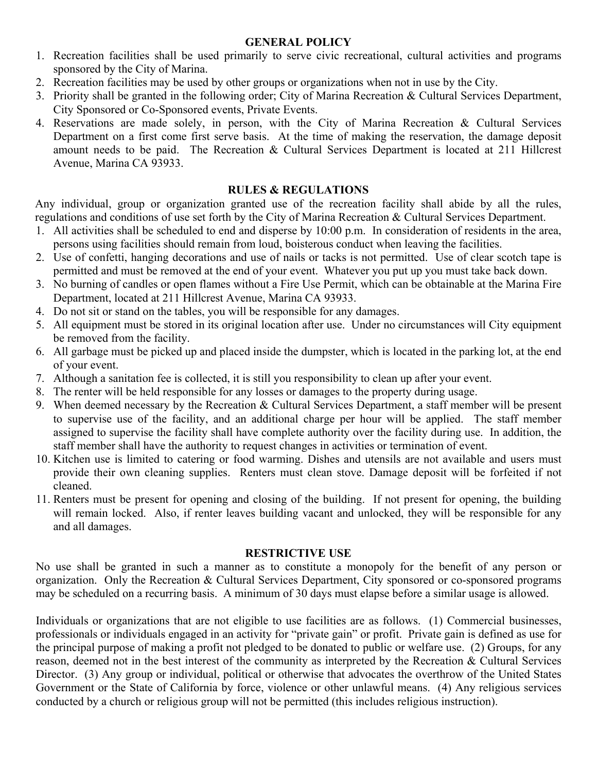### **GENERAL POLICY**

- 1. Recreation facilities shall be used primarily to serve civic recreational, cultural activities and programs sponsored by the City of Marina.
- 2. Recreation facilities may be used by other groups or organizations when not in use by the City.
- 3. Priority shall be granted in the following order; City of Marina Recreation & Cultural Services Department, City Sponsored or Co-Sponsored events, Private Events.
- 4. Reservations are made solely, in person, with the City of Marina Recreation & Cultural Services Department on a first come first serve basis. At the time of making the reservation, the damage deposit amount needs to be paid. The Recreation & Cultural Services Department is located at 211 Hillcrest Avenue, Marina CA 93933.

## **RULES & REGULATIONS**

Any individual, group or organization granted use of the recreation facility shall abide by all the rules, regulations and conditions of use set forth by the City of Marina Recreation & Cultural Services Department.

- 1. All activities shall be scheduled to end and disperse by 10:00 p.m. In consideration of residents in the area, persons using facilities should remain from loud, boisterous conduct when leaving the facilities.
- 2. Use of confetti, hanging decorations and use of nails or tacks is not permitted. Use of clear scotch tape is permitted and must be removed at the end of your event. Whatever you put up you must take back down.
- 3. No burning of candles or open flames without a Fire Use Permit, which can be obtainable at the Marina Fire Department, located at 211 Hillcrest Avenue, Marina CA 93933.
- 4. Do not sit or stand on the tables, you will be responsible for any damages.
- 5. All equipment must be stored in its original location after use. Under no circumstances will City equipment be removed from the facility.
- 6. All garbage must be picked up and placed inside the dumpster, which is located in the parking lot, at the end of your event.
- 7. Although a sanitation fee is collected, it is still you responsibility to clean up after your event.
- 8. The renter will be held responsible for any losses or damages to the property during usage.
- 9. When deemed necessary by the Recreation & Cultural Services Department, a staff member will be present to supervise use of the facility, and an additional charge per hour will be applied. The staff member assigned to supervise the facility shall have complete authority over the facility during use. In addition, the staff member shall have the authority to request changes in activities or termination of event.
- 10. Kitchen use is limited to catering or food warming. Dishes and utensils are not available and users must provide their own cleaning supplies. Renters must clean stove. Damage deposit will be forfeited if not cleaned.
- 11. Renters must be present for opening and closing of the building. If not present for opening, the building will remain locked. Also, if renter leaves building vacant and unlocked, they will be responsible for any and all damages.

## **RESTRICTIVE USE**

No use shall be granted in such a manner as to constitute a monopoly for the benefit of any person or organization. Only the Recreation & Cultural Services Department, City sponsored or co-sponsored programs may be scheduled on a recurring basis. A minimum of 30 days must elapse before a similar usage is allowed.

Individuals or organizations that are not eligible to use facilities are as follows. (1) Commercial businesses, professionals or individuals engaged in an activity for "private gain" or profit. Private gain is defined as use for the principal purpose of making a profit not pledged to be donated to public or welfare use. (2) Groups, for any reason, deemed not in the best interest of the community as interpreted by the Recreation & Cultural Services Director. (3) Any group or individual, political or otherwise that advocates the overthrow of the United States Government or the State of California by force, violence or other unlawful means. (4) Any religious services conducted by a church or religious group will not be permitted (this includes religious instruction).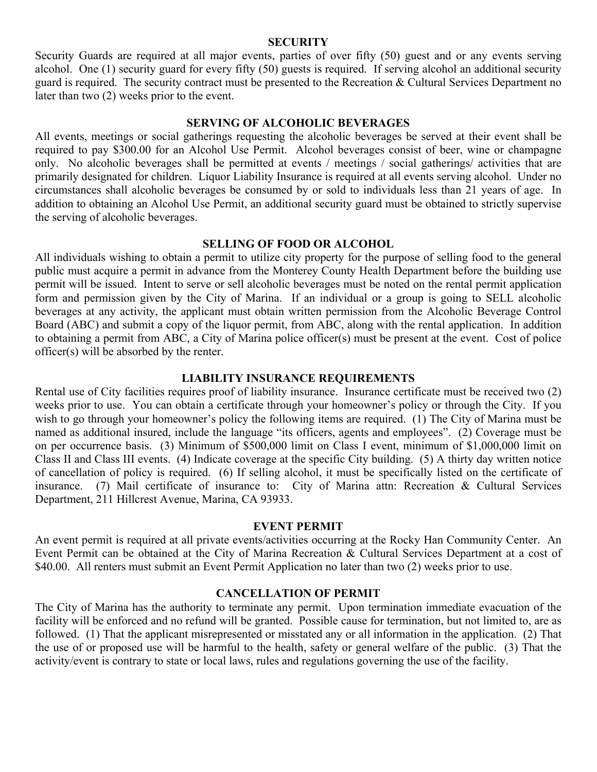### **SECURITY**

Security Guards are required at all major events, parties of over fifty (50) guest and or any events serving alcohol. One (1) security guard for every fifty (50) guests is required. If serving alcohol an additional security guard is required. The security contract must be presented to the Recreation & Cultural Services Department no later than two (2) weeks prior to the event.

### **SERVING OF ALCOHOLIC BEVERAGES**

All events, meetings or social gatherings requesting the alcoholic beverages be served at their event shall be required to pay \$300.00 for an Alcohol Use Permit. Alcohol beverages consist of beer, wine or champagne only. No alcoholic beverages shall be permitted at events / meetings / social gatherings/ activities that are primarily designated for children. Liquor Liability Insurance is required at all events serving alcohol. Under no circumstances shall alcoholic beverages be consumed by or sold to individuals less than 21 years of age. In addition to obtaining an Alcohol Use Permit, an additional security guard must be obtained to strictly supervise the serving of alcoholic beverages.

#### **SELLING OF FOOD OR ALCOHOL**

All individuals wishing to obtain a permit to utilize city property for the purpose of selling food to the general public must acquire a permit in advance from the Monterey County Health Department before the building use permit will be issued. Intent to serve or sell alcoholic beverages must be noted on the rental permit application form and permission given by the City of Marina. If an individual or a group is going to SELL alcoholic beverages at any activity, the applicant must obtain written permission from the Alcoholic Beverage Control Board (ABC) and submit a copy of the liquor permit, from ABC, along with the rental application. In addition to obtaining a permit from ABC, a City of Marina police officer(s) must be present at the event. Cost of police officer(s) will be absorbed by the renter.

### **LIABILITY INSURANCE REQUIREMENTS**

Rental use of City facilities requires proof of liability insurance. Insurance certificate must be received two (2) weeks prior to use. You can obtain a certificate through your homeowner's policy or through the City. If you wish to go through your homeowner's policy the following items are required. (1) The City of Marina must be named as additional insured, include the language "its officers, agents and employees". (2) Coverage must be on per occurrence basis. (3) Minimum of \$500,000 limit on Class I event, minimum of \$1,000,000 limit on Class II and Class III events. (4) Indicate coverage at the specific City building. (5) A thirty day written notice of cancellation of policy is required. (6) If selling alcohol, it must be specifically listed on the certificate of insurance. (7) Mail certificate of insurance to: City of Marina attn: Recreation & Cultural Services Department, 211 Hillcrest Avenue, Marina, CA 93933.

### **EVENT PERMIT**

An event permit is required at all private events/activities occurring at the Rocky Han Community Center. An Event Permit can be obtained at the City of Marina Recreation & Cultural Services Department at a cost of \$40.00. All renters must submit an Event Permit Application no later than two (2) weeks prior to use.

#### **CANCELLATION OF PERMIT**

The City of Marina has the authority to terminate any permit. Upon termination immediate evacuation of the facility will be enforced and no refund will be granted. Possible cause for termination, but not limited to, are as followed. (1) That the applicant misrepresented or misstated any or all information in the application. (2) That the use of or proposed use will be harmful to the health, safety or general welfare of the public. (3) That the activity/event is contrary to state or local laws, rules and regulations governing the use of the facility.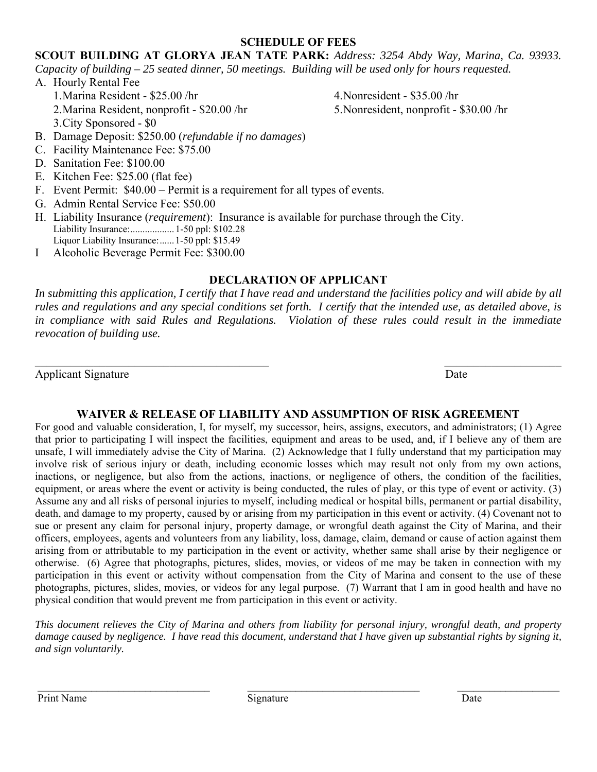### **SCHEDULE OF FEES**

**SCOUT BUILDING AT GLORYA JEAN TATE PARK:** *Address: 3254 Abdy Way, Marina, Ca. 93933. Capacity of building – 25 seated dinner, 50 meetings. Building will be used only for hours requested.* 

A. Hourly Rental Fee 1.Marina Resident - \$25.00 /hr 2.Marina Resident, nonprofit - \$20.00 /hr 3.City Sponsored - \$0

4.Nonresident - \$35.00 /hr 5.Nonresident, nonprofit - \$30.00 /hr

- B. Damage Deposit: \$250.00 (*refundable if no damages*)
- C. Facility Maintenance Fee: \$75.00
- D. Sanitation Fee: \$100.00
- E. Kitchen Fee: \$25.00 (flat fee)
- F. Event Permit: \$40.00 Permit is a requirement for all types of events.
- G. Admin Rental Service Fee: \$50.00
- H. Liability Insurance (*requirement*): Insurance is available for purchase through the City. Liability Insurance: .................. 1-50 ppl: \$102.28 Liquor Liability Insurance: ...... 1-50 ppl: \$15.49
- I Alcoholic Beverage Permit Fee: \$300.00

## **DECLARATION OF APPLICANT**

In submitting this application, I certify that I have read and understand the facilities policy and will abide by all *rules and regulations and any special conditions set forth. I certify that the intended use, as detailed above, is in compliance with said Rules and Regulations. Violation of these rules could result in the immediate revocation of building use.* 

 $\mathcal{L}_\text{max}$  , and the contract of the contract of the contract of the contract of the contract of the contract of

Applicant Signature Date

## **WAIVER & RELEASE OF LIABILITY AND ASSUMPTION OF RISK AGREEMENT**

For good and valuable consideration, I, for myself, my successor, heirs, assigns, executors, and administrators; (1) Agree that prior to participating I will inspect the facilities, equipment and areas to be used, and, if I believe any of them are unsafe, I will immediately advise the City of Marina. (2) Acknowledge that I fully understand that my participation may involve risk of serious injury or death, including economic losses which may result not only from my own actions, inactions, or negligence, but also from the actions, inactions, or negligence of others, the condition of the facilities, equipment, or areas where the event or activity is being conducted, the rules of play, or this type of event or activity. (3) Assume any and all risks of personal injuries to myself, including medical or hospital bills, permanent or partial disability, death, and damage to my property, caused by or arising from my participation in this event or activity. (4) Covenant not to sue or present any claim for personal injury, property damage, or wrongful death against the City of Marina, and their officers, employees, agents and volunteers from any liability, loss, damage, claim, demand or cause of action against them arising from or attributable to my participation in the event or activity, whether same shall arise by their negligence or otherwise. (6) Agree that photographs, pictures, slides, movies, or videos of me may be taken in connection with my participation in this event or activity without compensation from the City of Marina and consent to the use of these photographs, pictures, slides, movies, or videos for any legal purpose. (7) Warrant that I am in good health and have no physical condition that would prevent me from participation in this event or activity.

*This document relieves the City of Marina and others from liability for personal injury, wrongful death, and property damage caused by negligence. I have read this document, understand that I have given up substantial rights by signing it, and sign voluntarily.* 

 $\mathcal{L}_\mathcal{L} = \{ \mathcal{L}_\mathcal{L} = \{ \mathcal{L}_\mathcal{L} = \{ \mathcal{L}_\mathcal{L} = \{ \mathcal{L}_\mathcal{L} = \{ \mathcal{L}_\mathcal{L} = \{ \mathcal{L}_\mathcal{L} = \{ \mathcal{L}_\mathcal{L} = \{ \mathcal{L}_\mathcal{L} = \{ \mathcal{L}_\mathcal{L} = \{ \mathcal{L}_\mathcal{L} = \{ \mathcal{L}_\mathcal{L} = \{ \mathcal{L}_\mathcal{L} = \{ \mathcal{L}_\mathcal{L} = \{ \mathcal{L}_\mathcal{$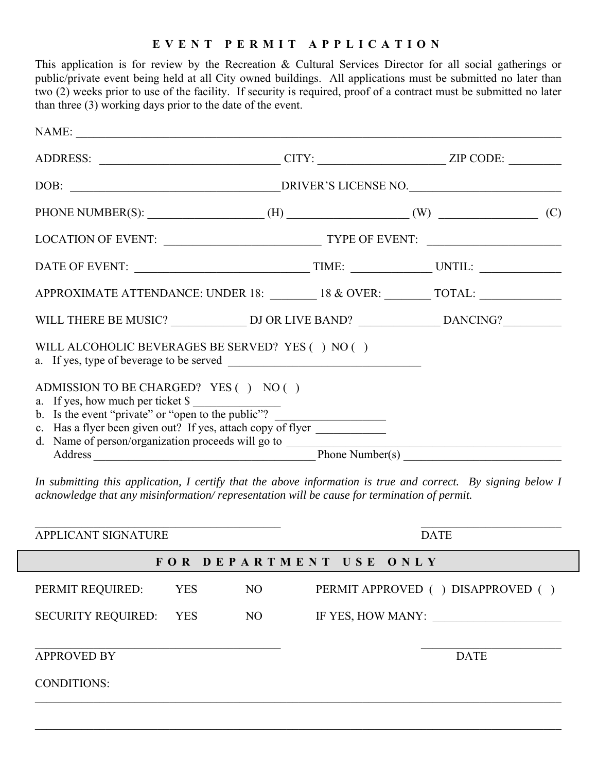### **EVENT PERMIT APPLICATION**

This application is for review by the Recreation & Cultural Services Director for all social gatherings or public/private event being held at all City owned buildings. All applications must be submitted no later than two (2) weeks prior to use of the facility. If security is required, proof of a contract must be submitted no later than three (3) working days prior to the date of the event.

| NAME:                                                                                                                                                                                                                          |                                                                                                               |  |  |  |
|--------------------------------------------------------------------------------------------------------------------------------------------------------------------------------------------------------------------------------|---------------------------------------------------------------------------------------------------------------|--|--|--|
|                                                                                                                                                                                                                                |                                                                                                               |  |  |  |
|                                                                                                                                                                                                                                |                                                                                                               |  |  |  |
| PHONE NUMBER(S): $\qquad \qquad$ (H) $\qquad \qquad$ (W) $\qquad \qquad$ (C)                                                                                                                                                   |                                                                                                               |  |  |  |
|                                                                                                                                                                                                                                |                                                                                                               |  |  |  |
|                                                                                                                                                                                                                                |                                                                                                               |  |  |  |
| APPROXIMATE ATTENDANCE: UNDER 18: ________ 18 & OVER: ________ TOTAL: ___________                                                                                                                                              |                                                                                                               |  |  |  |
|                                                                                                                                                                                                                                |                                                                                                               |  |  |  |
| WILL ALCOHOLIC BEVERAGES BE SERVED? YES ( ) NO ( )                                                                                                                                                                             |                                                                                                               |  |  |  |
| ADMISSION TO BE CHARGED? YES () NO ()<br>a. If yes, how much per ticket \$                                                                                                                                                     |                                                                                                               |  |  |  |
| b. Is the event "private" or "open to the public"?                                                                                                                                                                             |                                                                                                               |  |  |  |
| c. Has a flyer been given out? If yes, attach copy of flyer                                                                                                                                                                    |                                                                                                               |  |  |  |
| d. Name of person/organization proceeds will go to                                                                                                                                                                             |                                                                                                               |  |  |  |
| Address and the contract of the contract of the contract of the contract of the contract of the contract of the contract of the contract of the contract of the contract of the contract of the contract of the contract of th | Phone Number(s) $\frac{1}{\sqrt{1-\frac{1}{2}}\sqrt{1-\frac{1}{2}}\sqrt{1-\frac{1}{2}}\sqrt{1-\frac{1}{2}}}}$ |  |  |  |

*In submitting this application, I certify that the above information is true and correct. By signing below I acknowledge that any misinformation/ representation will be cause for termination of permit.* 

| APPLICANT SIGNATURE       |            |     | <b>DATE</b>                         |  |  |
|---------------------------|------------|-----|-------------------------------------|--|--|
|                           |            |     | FOR DEPARTMENT USE ONLY             |  |  |
| PERMIT REQUIRED:          | <b>YES</b> | NO. | PERMIT APPROVED ( ) DISAPPROVED ( ) |  |  |
| <b>SECURITY REQUIRED:</b> | <b>YES</b> | NO. | IF YES, HOW MANY:                   |  |  |
| <b>APPROVED BY</b>        |            |     | <b>DATE</b>                         |  |  |
| <b>CONDITIONS:</b>        |            |     |                                     |  |  |
|                           |            |     |                                     |  |  |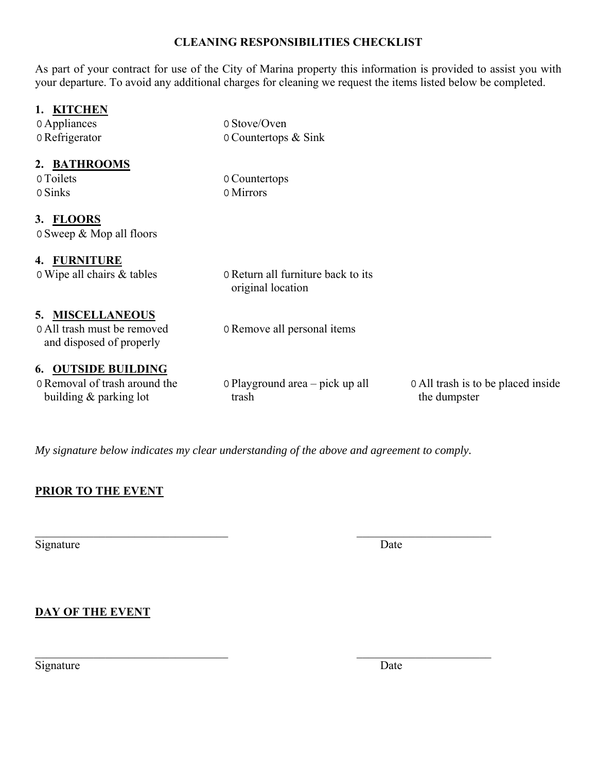## **CLEANING RESPONSIBILITIES CHECKLIST**

As part of your contract for use of the City of Marina property this information is provided to assist you with your departure. To avoid any additional charges for cleaning we request the items listed below be completed.

## **1. KITCHEN**

| 0 Appliances                  | 0 Stove/Oven                                            |                                    |  |  |  |
|-------------------------------|---------------------------------------------------------|------------------------------------|--|--|--|
| 0 Refrigerator                | 0 Countertops & Sink                                    |                                    |  |  |  |
| 2. BATHROOMS                  |                                                         |                                    |  |  |  |
| 0 Toilets                     | 0 Countertops                                           |                                    |  |  |  |
| 0 Sinks                       | 0 Mirrors                                               |                                    |  |  |  |
| 3. FLOORS                     |                                                         |                                    |  |  |  |
| 0 Sweep & Mop all floors      |                                                         |                                    |  |  |  |
| 4. FURNITURE                  |                                                         |                                    |  |  |  |
| 0 Wipe all chairs & tables    | 0 Return all furniture back to its<br>original location |                                    |  |  |  |
| 5. MISCELLANEOUS              |                                                         |                                    |  |  |  |
| 0 All trash must be removed   | 0 Remove all personal items                             |                                    |  |  |  |
| and disposed of properly      |                                                         |                                    |  |  |  |
| <b>6. OUTSIDE BUILDING</b>    |                                                         |                                    |  |  |  |
| 0 Removal of trash around the | 0 Playground area – pick up all                         | 0 All trash is to be placed inside |  |  |  |
| building $&$ parking lot      | trash                                                   | the dumpster                       |  |  |  |
|                               |                                                         |                                    |  |  |  |

*My signature below indicates my clear understanding of the above and agreement to comply.* 

 $\mathcal{L}_\text{max}$  , and the contract of the contract of the contract of the contract of the contract of the contract of

## **PRIOR TO THE EVENT**

Signature Date

**DAY OF THE EVENT** 

Signature Date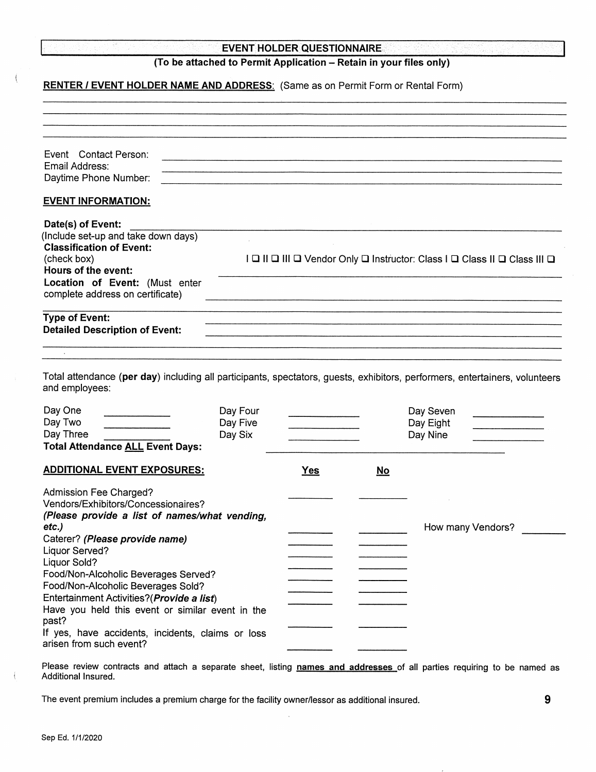|  |                          | the contract of the contract of the contract of the contract of the contract of the contract of the contract of |                          |  |
|--|--------------------------|-----------------------------------------------------------------------------------------------------------------|--------------------------|--|
|  | しんようしょうどう マート・オール アールセージ |                                                                                                                 | <b>Contract Contract</b> |  |
|  |                          | the contract of the contract of                                                                                 |                          |  |
|  | 나, 그 사람은 많이 보면 사람이다.     |                                                                                                                 |                          |  |
|  |                          |                                                                                                                 |                          |  |
|  |                          |                                                                                                                 |                          |  |

#### **EVENT HOLDER QUESTIONNAIRE**

### (To be attached to Permit Application - Retain in your files only)

#### RENTER / EVENT HOLDER NAME AND ADDRESS: (Same as on Permit Form or Rental Form)

| Event Contact Person:<br>Email Address:<br>Daytime Phone Number:                                                                                                                                                                                                                                                                                                                                                                          |                                 |                                |           |                                                                           |
|-------------------------------------------------------------------------------------------------------------------------------------------------------------------------------------------------------------------------------------------------------------------------------------------------------------------------------------------------------------------------------------------------------------------------------------------|---------------------------------|--------------------------------|-----------|---------------------------------------------------------------------------|
| <b>EVENT INFORMATION:</b>                                                                                                                                                                                                                                                                                                                                                                                                                 |                                 |                                |           |                                                                           |
| Date(s) of Event:<br>(Include set-up and take down days)<br><b>Classification of Event:</b><br>(check box)<br>Hours of the event:<br>Location of Event: (Must enter<br>complete address on certificate)                                                                                                                                                                                                                                   |                                 |                                |           | I Q II Q III Q Vendor Only Q Instructor: Class I Q Class II Q Class III Q |
| <b>Type of Event:</b><br><b>Detailed Description of Event:</b>                                                                                                                                                                                                                                                                                                                                                                            |                                 |                                |           |                                                                           |
|                                                                                                                                                                                                                                                                                                                                                                                                                                           |                                 |                                |           |                                                                           |
| Total attendance (per day) including all participants, spectators, guests, exhibitors, performers, entertainers, volunteers<br>and employees:                                                                                                                                                                                                                                                                                             |                                 |                                |           |                                                                           |
| Day One<br>Day Two<br>Day Three<br><b>Total Attendance ALL Event Days:</b>                                                                                                                                                                                                                                                                                                                                                                | Day Four<br>Day Five<br>Day Six | and the company of the company |           | Day Seven<br>Day Eight<br>Day Nine                                        |
| <b>ADDITIONAL EVENT EXPOSURES:</b>                                                                                                                                                                                                                                                                                                                                                                                                        |                                 | <b>Yes</b>                     | <u>No</u> |                                                                           |
| Admission Fee Charged?<br>Vendors/Exhibitors/Concessionaires?<br>(Please provide a list of names/what vending,<br>etc.)<br>Caterer? (Please provide name)<br>Liquor Served?<br>Liquor Sold?<br>Food/Non-Alcoholic Beverages Served?<br>Food/Non-Alcoholic Beverages Sold?<br>Entertainment Activities? (Provide a list)<br>Have you held this event or similar event in the<br>past?<br>If yes, have accidents, incidents, claims or loss |                                 |                                |           | How many Vendors?                                                         |

Please review contracts and attach a separate sheet, listing names and addresses of all parties requiring to be named as Additional Insured.

The event premium includes a premium charge for the facility owner/lessor as additional insured.